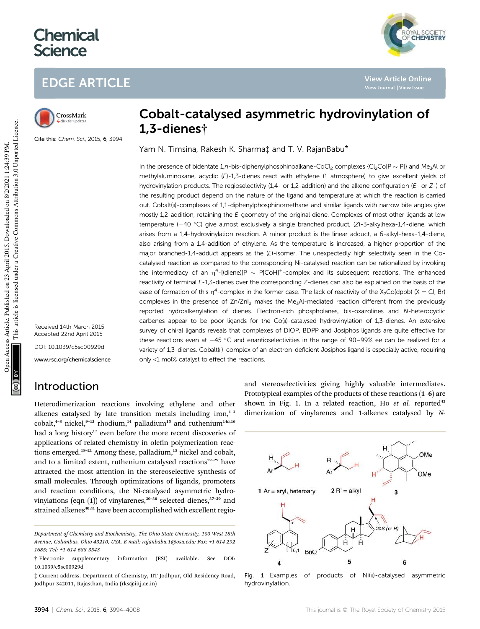# **Chemical Science**

# EDGE ARTICLE



Cite this: Chem. Sci., 2015, 6, 3994

Received 14th March 2015 Accepted 22nd April 2015 DOI: 10.1039/c5sc00929d

www.rsc.org/chemicalscience

# Introduction

Heterodimerization reactions involving ethylene and other alkenes catalysed by late transition metals including iron, $1-3$ cobalt,<sup>4-8</sup> nickel,<sup>9-13</sup> rhodium,<sup>14</sup> palladium<sup>15</sup> and ruthenium<sup>14a,16</sup> had a long history<sup>17</sup> even before the more recent discoveries of applications of related chemistry in olefin polymerization reactions emerged.<sup>18-21</sup> Among these, palladium,<sup>15</sup> nickel and cobalt, and to a limited extent, ruthenium catalysed reactions<sup>22-29</sup> have attracted the most attention in the stereoselective synthesis of small molecules. Through optimizations of ligands, promoters and reaction conditions, the Ni-catalysed asymmetric hydrovinylations (eqn  $(1)$ ) of vinylarenes,<sup>30–36</sup> selected dienes,<sup>37–39</sup> and strained alkenes<sup>40,41</sup> have been accomplished with excellent regio-

# Cobalt-catalysed asymmetric hydrovinylation of 1,3-dienes†

Yam N. Timsina, Rakesh K. Sharma‡ and T. V. RajanBabu\*

In the presence of bidentate 1,n-bis-diphenylphosphinoalkane-CoCl<sub>2</sub> complexes {Cl<sub>2</sub>Co[P  $\sim$  P]} and Me<sub>3</sub>Al or methylaluminoxane, acyclic (E)-1,3-dienes react with ethylene (1 atmosphere) to give excellent yields of hydrovinylation products. The regioselectivity (1,4- or 1,2-addition) and the alkene configuration (E- or Z-) of the resulting product depend on the nature of the ligand and temperature at which the reaction is carried out. Cobalt(II)-complexes of 1,1-diphenylphosphinomethane and similar ligands with narrow bite angles give mostly 1,2-addition, retaining the E-geometry of the original diene. Complexes of most other ligands at low temperature ( $-40$  °C) give almost exclusively a single branched product,  $(Z)$ -3-alkylhexa-1,4-diene, which arises from a 1,4-hydrovinylation reaction. A minor product is the linear adduct, a 6-alkyl-hexa-1,4-diene, also arising from a 1,4-addition of ethylene. As the temperature is increased, a higher proportion of the major branched-1,4-adduct appears as the  $(E)$ -isomer. The unexpectedly high selectivity seen in the Cocatalysed reaction as compared to the corresponding Ni-catalysed reaction can be rationalized by invoking the intermediacy of an  $\eta^4$ -[(diene)[P ~ P]CoH]<sup>+</sup>-complex and its subsequent reactions. The enhanced reactivity of terminal E-1,3-dienes over the corresponding Z-dienes can also be explained on the basis of the ease of formation of this  $\eta^4$ -complex in the former case. The lack of reactivity of the X<sub>2</sub>Co(dppb) (X = Cl, Br) complexes in the presence of Zn/ZnI<sub>2</sub> makes the Me<sub>3</sub>Al-mediated reaction different from the previously reported hydroalkenylation of dienes. Electron-rich phospholanes, bis-oxazolines and N-heterocyclic carbenes appear to be poor ligands for the Co(II)-catalysed hydrovinylation of 1,3-dienes. An extensive survey of chiral ligands reveals that complexes of DIOP, BDPP and Josiphos ligands are quite effective for these reactions even at  $-45$  °C and enantioselectivities in the range of 90-99% ee can be realized for a variety of 1,3-dienes. Cobalt(II)-complex of an electron-deficient Josiphos ligand is especially active, requiring only <1 mol% catalyst to effect the reactions.

> and stereoselectivities giving highly valuable intermediates. Prototypical examples of the products of these reactions (1–6) are shown in Fig. 1. In a related reaction, Ho et al. reported<sup>42</sup> dimerization of vinylarenes and 1-alkenes catalysed by *N*-

**View Article Online View Journal | View Issue**

YAL SOCIETY<br>**CHEMISTRY** 



Fig. 1 Examples of products of Ni(II)-catalysed asymmetric hydrovinylation.

*Department of Chemistry and Biochemistry, The Ohio State University, 100 West 18th Avenue, Columbus, Ohio 43210, USA. E-mail: rajanbabu.1@osu.edu; Fax: +1 614 292 1685; Tel: +1 614 688 3543*

<sup>†</sup> Electronic supplementary information (ESI) available. See DOI: 10.1039/c5sc00929d

<sup>‡</sup> Current address. Department of Chemistry, IIT Jodhpur, Old Residency Road, Jodhpur-342011, Rajasthan, India (rks@iitj.ac.in)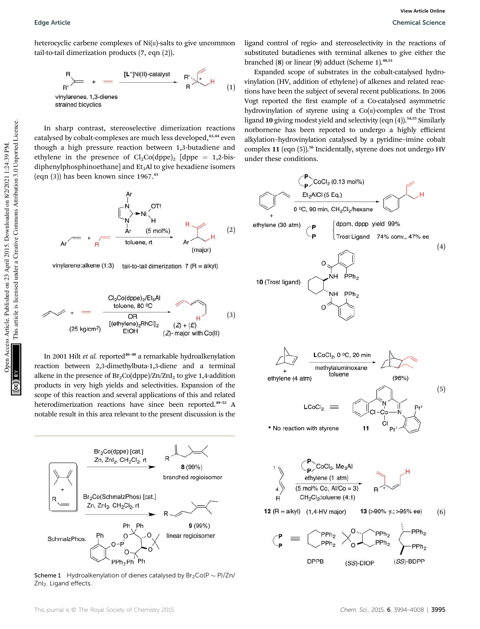heterocyclic carbene complexes of  $Ni(II)$ -salts to give uncommon tail-to-tail dimerization products (7, eqn (2)).



In sharp contrast, stereoselective dimerization reactions catalysed by cobalt-complexes are much less developed, 43,44 even though a high pressure reaction between 1,3-butadiene and ethylene in the presence of  $Cl_2Co(dppe)_2$  [dppe = 1,2-bisdiphenylphosphinoethane] and  $Et<sub>3</sub>Al$  to give hexadiene isomers (eqn  $(3)$ ) has been known since 1967.<sup>45</sup>



vinylarene:alkene (1:3) tail-to-tail dimerization  $7(R = alkyl)$ 



In 2001 Hilt *et al.* reported<sup>46-48</sup> a remarkable hydroalkenylation reaction between 2,3-dimethylbuta-1,3-diene and a terminal alkene in the presence of  $Br_2Co(dppe)/Zn/ZnI_2$  to give 1,4-addition products in very high yields and selectivities. Expansion of the scope of this reaction and several applications of this and related heterodimerization reactions have since been reported.<sup>49-52</sup> A notable result in this area relevant to the present discussion is the



Scheme 1 Hydroalkenylation of dienes catalysed by  $Br_2Co(P \sim P)/Zn/$ Znl<sub>2</sub>. Ligand effects.

ligand control of regio- and stereoselectivity in the reactions of substituted butadienes with terminal alkenes to give either the branched (8) or linear (9) adduct (Scheme 1).48,53

Expanded scope of substrates in the cobalt-catalysed hydrovinylation (HV, addition of ethylene) of alkenes and related reactions have been the subject of several recent publications. In 2006 Vogt reported the first example of a Co-catalysed asymmetric hydrovinylation of styrene using a  $Co(n)$ -complex of the Trost ligand 10 giving modest yield and selectivity (eqn  $(4)$ ).<sup>54,55</sup> Similarly norbornene has been reported to undergo a highly efficient alkylation–hydrovinylation catalysed by a pyridine–imine cobalt complex 11 (eqn (5)).<sup>56</sup> Incidentally, styrene does not undergo HV under these conditions.

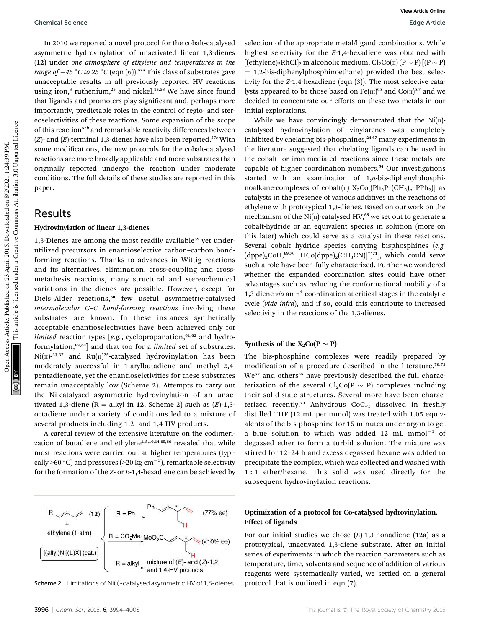In 2010 we reported a novel protocol for the cobalt-catalysed asymmetric hydrovinylation of unactivated linear 1,3-dienes (12) under *one atmosphere of ethylene and temperatures in the range of*  $-45\degree C$  *to*  $25\degree C$  (eqn (6)).<sup>57a</sup> This class of substrates gave unacceptable results in all previously reported HV reactions using iron,<sup>3</sup> ruthenium,<sup>25</sup> and nickel.<sup>13,58</sup> We have since found that ligands and promoters play significant and, perhaps more importantly, predictable roles in the control of regio- and stereoselectivities of these reactions. Some expansion of the scope of this reaction<sup>57b</sup> and remarkable reactivity differences between  $(Z)$ - and  $(E)$ -terminal 1,3-dienes have also been reported.<sup>57c</sup> With some modifications, the new protocols for the cobalt-catalysed reactions are more broadly applicable and more substrates than originally reported undergo the reaction under moderate conditions. The full details of these studies are reported in this paper.

### Results

#### Hydrovinylation of linear 1,3-dienes

1,3-Dienes are among the most readily available<sup>59</sup> yet underutilized precursors in enantioselective carbon–carbon bondforming reactions. Thanks to advances in Wittig reactions and its alternatives, elimination, cross-coupling and crossmetathesis reactions, many structural and stereochemical variations in the dienes are possible. However, except for Diels-Alder reactions,<sup>60</sup> few useful asymmetric-catalysed *intermolecular C*–*C bond-forming reactions* involving these substrates are known. In these instances synthetically acceptable enantioselectivities have been achieved only for *limited* reaction types [e.g., cyclopropanation,<sup>61,62</sup> and hydroformylation,63,64] and that too for a *limited* set of substrates.  $Ni(n)^{33,37}$  and  $Ru(n)^{25}$ -catalysed hydrovinylation has been moderately successful in 1-arylbutadiene and methyl 2,4 pentadienoate, yet the enantioselctivities for these substrates remain unacceptably low (Scheme 2). Attempts to carry out the Ni-catalysed asymmetric hydrovinylation of an unactivated 1,3-diene ( $R =$  alkyl in 12, Scheme 2) such as  $(E)$ -1,3octadiene under a variety of conditions led to a mixture of several products including 1,2- and 1,4-HV products.

A careful review of the extensive literature on the codimerization of butadiene and ethylene<sup>1,5,10,14,65,66</sup> revealed that while most reactions were carried out at higher temperatures (typically >60 °C) and pressures (>20 kg  $\rm cm^{-3}$ ), remarkable selectivity for the formation of the *Z*- or *E*-1,4-hexadiene can be achieved by

 $(12)$ ethylene (1 atm)  $R = CO<sub>2</sub>Me$  MeO<sub>2</sub>C  $\leq$  (<10% ee)  $[(\text{allyl})\text{Ni}[(\text{L})\text{X}](\text{cat.})$ mixture of  $(E)$ - and  $(Z)$ -1,2  $R = aIkyI$ and 1,4-HV products

(77% ee)

Scheme 2 Limitations of Ni(II)-catalysed asymmetric HV of 1,3-dienes. protocol that is outlined in eqn (7).

While we have convincingly demonstrated that the  $Ni(II)$ catalysed hydrovinylation of vinylarenes was completely inhibited by chelating bis-phosphines, $24,67$  many experiments in the literature suggested that chelating ligands can be used in the cobalt- or iron-mediated reactions since these metals are capable of higher coordination numbers.<sup>54</sup> Our investigations started with an examination of 1,*n*-bis-diphenylphosphinoalkane-complexes of cobalt( $\pi$ ) X<sub>2</sub>Co[(Ph<sub>2</sub>P–(CH<sub>2</sub>)<sub>n</sub>–PPh<sub>2</sub>)] as catalysts in the presence of various additives in the reactions of ethylene with prototypical 1,3-dienes. Based on our work on the mechanism of the Ni( $\pi$ )-catalysed HV,<sup>68</sup> we set out to generate a cobalt-hydride or an equivalent species in solution (more on this later) which could serve as a catalyst in these reactions. Several cobalt hydride species carrying bisphosphines (*e.g.*  $(dppe)_{2}CoH, ^{69,70}$  [HCo(dppe)<sub>2</sub>(CH<sub>3</sub>CN)]<sup>+</sup>)<sup>71</sup>], which could serve such a role have been fully characterized. Further we wondered whether the expanded coordination sites could have other advantages such as reducing the conformational mobility of a 1,3-diene via an  $\eta^4$ -coordination at critical stages in the catalytic cycle (*vide infra*), and if so, could this contribute to increased selectivity in the reactions of the 1,3-dienes.

#### Synthesis of the  $X_2Co(P \sim P)$

The bis-phosphine complexes were readily prepared by modification of a procedure described in the literature.<sup>70,72</sup> We<sup>57</sup> and others<sup>55</sup> have previously described the full characterization of the several  $Cl_2Co(P \sim P)$  complexes including their solid-state structures. Several more have been characterized recently.<sup>73</sup> Anhydrous CoCl<sub>2</sub> dissolved in freshly distilled THF (12 mL per mmol) was treated with 1.05 equivalents of the bis-phosphine for 15 minutes under argon to get a blue solution to which was added 12 mL  $mmol^{-1}$  of degassed ether to form a turbid solution. The mixture was stirred for 12–24 h and excess degassed hexane was added to precipitate the complex, which was collected and washed with 1 : 1 ether/hexane. This solid was used directly for the subsequent hydrovinylation reactions.

### Optimization of a protocol for Co-catalysed hydrovinylation. Effect of ligands

For our initial studies we chose (*E*)-1,3-nonadiene (12a) as a prototypical, unactivated 1,3-diene substrate. After an initial series of experiments in which the reaction parameters such as temperature, time, solvents and sequence of addition of various reagents were systematically varied, we settled on a general

This article is licensed under a Creative Commons Attribution 3.0 Unported Licence.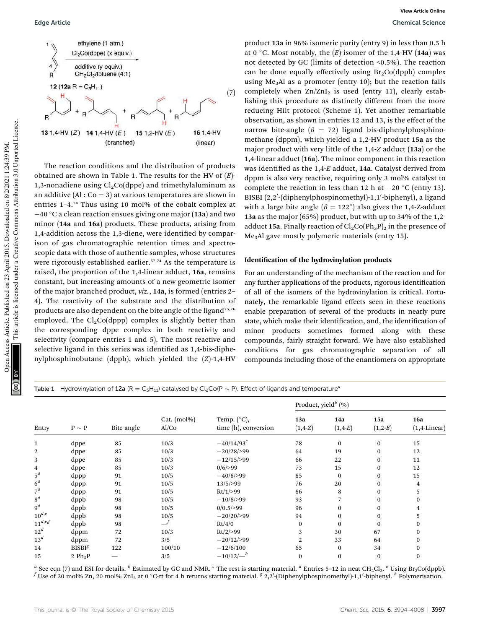

The reaction conditions and the distribution of products obtained are shown in Table 1. The results for the HV of (*E*)- 1,3-nonadiene using  $Cl<sub>2</sub>Co(dppe)$  and trimethylaluminum as an additive  $(A \cdot C_0 = 3)$  at various temperatures are shown in entries 1–4.<sup>74</sup> Thus using 10 mol% of the cobalt complex at  $-40$  °C a clean reaction ensues giving one major (13a) and two minor (14a and 16a) products. These products, arising from 1,4-addition across the 1,3-diene, were identified by comparison of gas chromatographic retention times and spectroscopic data with those of authentic samples, whose structures were rigorously established earlier.<sup>57,74</sup> As the temperature is raised, the proportion of the 1,4-linear adduct, 16a, remains constant, but increasing amounts of a new geometric isomer of the major branched product, *viz.*, 14a, is formed (entries 2– 4). The reactivity of the substrate and the distribution of products are also dependent on the bite angle of the ligand<sup>75,76</sup> employed. The  $Cl<sub>2</sub>Co(dppp)$  complex is slightly better than the corresponding dppe complex in both reactivity and selectivity (compare entries 1 and 5). The most reactive and selective ligand in this series was identified as 1,4-bis-diphenylphosphinobutane (dppb), which yielded the (*Z*)-1,4-HV

product 13a in 96% isomeric purity (entry 9) in less than 0.5 h at 0  $\degree$ C. Most notably, the  $(E)$ -isomer of the 1,4-HV (14a) was not detected by GC (limits of detection <0.5%). The reaction can be done equally effectively using  $Br_2Co(dppb)$  complex using Me<sub>3</sub>Al as a promoter (entry 10); but the reaction fails completely when  $Zn/ZnI_2$  is used (entry 11), clearly establishing this procedure as distinctly different from the more reducing Hilt protocol (Scheme 1). Yet another remarkable observation, as shown in entries 12 and 13, is the effect of the narrow bite-angle ( $\beta$  = 72) ligand bis-diphenylphosphinomethane (dppm), which yielded a 1,2-HV product 15a as the major product with very little of the 1,4-*Z* adduct (13a) or the 1,4-linear adduct (16a). The minor component in this reaction was identified as the 1,4-E adduct, 14a. Catalyst derived from dppm is also very reactive, requiring only 3 mol% catalyst to complete the reaction in less than 12 h at  $-20$  °C (entry 13). BISBI (2,2'-(diphenylphospinomethyl)-1,1'-biphenyl), a ligand with a large bite angle  $(\beta = 122^{\circ})$  also gives the 1,4-Z-adduct 13a as the major (65%) product, but with up to 34% of the 1,2 adduct 15a. Finally reaction of  $Cl_2Co(Ph_3P)_2$  in the presence of Me3Al gave mostly polymeric materials (entry 15).

#### Identification of the hydrovinylation products

For an understanding of the mechanism of the reaction and for any further applications of the products, rigorous identification of all of the isomers of the hydrovinylation is critical. Fortunately, the remarkable ligand effects seen in these reactions enable preparation of several of the products in nearly pure state, which make their identification, and, the identification of minor products sometimes formed along with these compounds, fairly straight forward. We have also established conditions for gas chromatographic separation of all compounds including those of the enantiomers on appropriate

Table 1 Hydrovinylation of 12a (R = C<sub>5</sub>H<sub>11</sub>) catalysed by Cl<sub>2</sub>Co(P ~ P). Effect of ligands and temperature<sup>*a*</sup>

| Entry          | $\text{P} \sim \text{P}$ | Bite angle               | Cat. (mol%)<br>Al/Co |                                               | Product, yield <sup>b</sup> (%) |                   |                   |                               |  |
|----------------|--------------------------|--------------------------|----------------------|-----------------------------------------------|---------------------------------|-------------------|-------------------|-------------------------------|--|
|                |                          |                          |                      | Temp. $(^{\circ}C)$ ,<br>time (h), conversion | 13a<br>$(1,4-Z)$                | 14a<br>$(1, 4-E)$ | 15a<br>$(1, 2-E)$ | <b>16a</b><br>$(1,4$ -Linear) |  |
| $\mathbf{1}$   | dppe                     | 85                       | 10/3                 | $-40/14/93^{c}$                               | 78                              | $\mathbf{0}$      | $\mathbf{0}$      | 15                            |  |
| 2              | dppe                     | 85                       | 10/3                 | $-20/28/>99$                                  | 64                              | 19                | $\bf{0}$          | 12                            |  |
| 3              | dppe                     | 85                       | 10/3                 | $-12/15/>99$                                  | 66                              | 22                | $\bf{0}$          | 11                            |  |
| 4              | dppe                     | 85                       | 10/3                 | $0/6$ />99                                    | 73                              | 15                | $\bf{0}$          | 12                            |  |
| $5^d$          | dppp                     | 91                       | 10/5                 | $-40/8/999$                                   | 85                              | $\bf{0}$          | $\bf{0}$          | 15                            |  |
| 6 <sup>d</sup> | dppp                     | 91                       | 10/5                 | 13/5/>99                                      | 76                              | 20                | $\bf{0}$          | $\overline{4}$                |  |
| $7^d$          | dppp                     | 91                       | 10/5                 | Rt/1/>99                                      | 86                              | 8                 | $\bf{0}$          | 5                             |  |
| 8 <sup>d</sup> | dppb                     | 98                       | 10/5                 | $-10/8/999$                                   | 93                              |                   | $\mathbf{0}$      | $\Omega$                      |  |
| $9^d$          | dppb                     | 98                       | 10/5                 | $0/0.5$ />99                                  | 96                              | $\mathbf{0}$      | $\bf{0}$          | 4                             |  |
| $10^{d,e}$     | dppb                     | 98                       | 10/5                 | $-20/20/999$                                  | 94                              | $\mathbf{0}$      | $\bf{0}$          | 5                             |  |
| $11^{d,e,f}$   | dppb                     | 98                       |                      | Rt/4/0                                        | $\bf{0}$                        | $\Omega$          | $\bf{0}$          | $\bf{0}$                      |  |
| $12^d$         | dppm                     | 72                       | 10/3                 | $Rt/2$ />99                                   | 3                               | 30                | 67                | $\bf{0}$                      |  |
| $13^d$         | dppm                     | 72                       | 3/5                  | $-20/12/>99$                                  | 2                               | 33                | 64                | $\bf{0}$                      |  |
| 14             | BISBI <sup>g</sup>       | 122                      | 100/10               | $-12/6/100$                                   | 65                              | $\mathbf{0}$      | 34                | $\bf{0}$                      |  |
| 15             | 2 $Ph_3P$                | $\overline{\phantom{0}}$ | 3/5                  | $-10/12/^{-h}$                                | $\bf{0}$                        | $\mathbf{0}$      | $\bf{0}$          | $\bf{0}$                      |  |

*a* See eqn (7) and ESI for details. *<sup>b</sup>* Estimated by GC and NMR. *<sup>c</sup>* The rest is starting material. *<sup>d</sup>* Entries 5–12 in neat CH2Cl2. *<sup>e</sup>* Using Br2Co(dppb). <sup>f</sup> Use of 20 mol% Zn, 20 mol% ZnI<sub>2</sub> at 0 °C-rt for 4 h returns starting material. <sup>g</sup> 2,2'-(Diphenylphospinomethyl)-1,1'-biphenyl. <sup>h</sup> Polymerisation.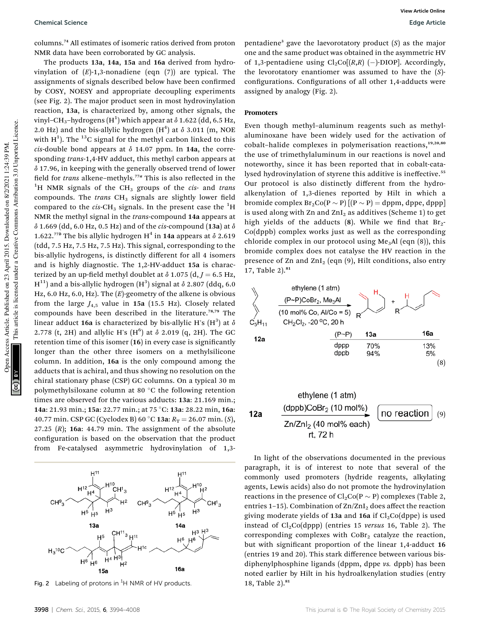columns.<sup>74</sup> All estimates of isomeric ratios derived from proton NMR data have been corroborated by GC analysis.

The products 13a, 14a, 15a and 16a derived from hydrovinylation of (*E*)-1,3-nonadiene (eqn (7)) are typical. The assignments of signals described below have been confirmed by COSY, NOESY and appropriate decoupling experiments (see Fig. 2). The major product seen in most hydrovinylation reaction, 13a, is characterized by, among other signals, the vinyl–CH<sub>3</sub>–hydrogens (H<sup>1</sup>) which appear at  $\delta$  1.622 (dd, 6.5 Hz, 2.0 Hz) and the bis-allylic hydrogen  $(H<sup>4</sup>)$  at  $\delta$  3.011 (m, NOE with H<sup>1</sup>). The <sup>13</sup>C signal for the methyl carbon linked to this  $cis$ -double bond appears at  $\delta$  14.07 ppm. In 14a, the corresponding *trans*-1,4-HV adduct, this methyl carbon appears at  $\delta$  17.96, in keeping with the generally observed trend of lower field for *trans* alkene–methyls.<sup>77a</sup> This is also reflected in the <sup>1</sup>H NMR signals of the CH<sub>3</sub> groups of the *cis*- and *trans* compounds. The *trans*  $CH<sub>3</sub>$  signals are slightly lower field compared to the  $cis$ -CH<sub>3</sub> signals. In the present case the  ${}^{1}$ H NMR the methyl signal in the *trans*-compound 14a appears at  $\delta$  1.669 (dd, 6.0 Hz, 0.5 Hz) and of the *cis*-compound (13a) at  $\delta$ 1.622.<sup>77b</sup> The bis allylic hydrogen H<sup>4</sup> in 14a appears at  $\delta$  2.619 (tdd, 7.5 Hz, 7.5 Hz, 7.5 Hz). This signal, corresponding to the bis-allylic hydrogens, is distinctly different for all 4 isomers and is highly diagnostic. The 1,2-HV-adduct 15a is characterized by an up-field methyl doublet at  $\delta$  1.075 (d,  $J = 6.5$  Hz,  $\mathrm{H}^{11})$  and a bis-allylic hydrogen  $(\mathrm{H}^{3})$  signal at  $\delta$  2.807 (ddq, 6.0 Hz, 6.0 Hz, 6.0, Hz). The (*E*)-geometry of the alkene is obvious from the large  $J_{4.5}$  value in 15a (15.5 Hz). Closely related compounds have been described in the literature.78,79 The linear adduct 16a is characterized by bis-allylic H's  $(\mathrm{H}^3)$  at  $\delta$ 2.778 (t, 2H) and allylic H's  $(H^6)$  at  $\delta$  2.019 (q, 2H). The GC retention time of this isomer (16) in every case is significantly longer than the other three isomers on a methylsilicone column. In addition, 16a is the only compound among the adducts that is achiral, and thus showing no resolution on the chiral stationary phase (CSP) GC columns. On a typical 30 m polymethylsiloxane column at 80 $\degree$ C the following retention times are observed for the various adducts: 13a: 21.169 min.; 14a: 21.93 min.; 15a: 22.77 min.; at 75 °C: 13a: 28.22 min, 16a: 40.77 min. CSP GC (Cyclodex B) 60 °C 13a:  $R_T = 26.07$  min. (*S*), 27.25 (*R*); 16a: 44.79 min. The assignment of the absolute configuration is based on the observation that the product from Fe-catalysed asymmetric hydrovinylation of 1,3-

 $H<sup>1</sup>$  $H<sup>12</sup>$ .<br>Н<sup>4</sup>  $CH<sup>9</sup><sub>3</sub>$  $H^3$  $H<sub>5</sub>$  $H<sub>5</sub>$ 134  $14a$  $H^3$   $H^3$ <sup>1</sup>3 H1t  $H<sup>6</sup>$  $H<sup>6</sup>$  $H_3$ <sup>10</sup>C  $H^4$  H<sup>3</sup>  $H^6$  H<sub>6</sub>  $16a$ 

Fig. 2 Labeling of protons in <sup>1</sup>H NMR of HV products.  $18$ , Table 2).<sup>81</sup>

pentadiene<sup>3</sup> gave the laevorotatory product (*S*) as the major one and the same product was obtained in the asymmetric HV of 1,3-pentadiene using  $\text{Cl}_2\text{Co}[(R,R)$  (-)-DIOP]. Accordingly, the levorotatory enantiomer was assumed to have the (*S*) configurations. Configurations of all other 1,4-adducts were assigned by analogy (Fig. 2).

#### Promoters

Even though methyl–aluminum reagents such as methylaluminoxane have been widely used for the activation of cobalt-halide complexes in polymerisation reactions,<sup>19,20,80</sup> the use of trimethylaluminum in our reactions is novel and noteworthy, since it has been reported that in cobalt-catalysed hydrovinylation of styrene this additive is ineffective.<sup>55</sup> Our protocol is also distinctly different from the hydroalkenylation of 1,3-dienes reported by Hilt in which a bromide complex  $Br_2Co(P \sim P)$   $[(P \sim P) = dppm$ , dppe, dppp is used along with Zn and  $ZnI_2$  as additives (Scheme 1) to get high yields of the adducts  $(8)$ . While we find that  $Br_2$ -Co(dppb) complex works just as well as the corresponding chloride complex in our protocol using Me<sub>3</sub>Al (eqn  $(8)$ ), this bromide complex does not catalyse the HV reaction in the presence of Zn and ZnI<sub>2</sub> (eqn  $(9)$ , Hilt conditions, also entry 17, Table 2).<sup>81</sup>





In light of the observations documented in the previous paragraph, it is of interest to note that several of the commonly used promoters (hydride reagents, alkylating agents, Lewis acids) also do not promote the hydrovinylation reactions in the presence of  $Cl_2Co(P \sim P)$  complexes (Table 2, entries 1-15). Combination of  $\text{Zn/ZnI}_2$  does affect the reaction giving moderate yields of 13a and 16a if  $Cl<sub>2</sub>Co(dppe)$  is used instead of  $Cl<sub>2</sub>Co(dppp)$  (entries 15 *versus* 16, Table 2). The corresponding complexes with  $CoBr<sub>2</sub>$  catalyze the reaction, but with significant proportion of the linear 1,4-adduct 16 (entries 19 and 20). This stark difference between various bisdiphenylphosphine ligands (dppm, dppe *vs.* dppb) has been noted earlier by Hilt in his hydroalkenylation studies (entry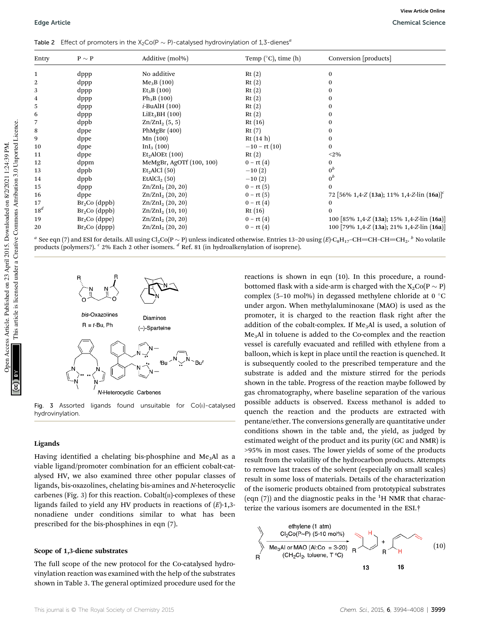Table 2 Effect of promoters in the  $X_2Co(P \sim P)$ -catalysed hydrovinylation of 1,3-dienes<sup>*a*</sup>

| Entry  | $P \sim P$      | Additive (mol%)             | Temp $(°C)$ , time $(h)$ | Conversion [products]                                          |
|--------|-----------------|-----------------------------|--------------------------|----------------------------------------------------------------|
|        | dppp            | No additive                 | Rt(2)                    | 0                                                              |
| 2      | dppp            | Me <sub>3</sub> B (100)     | Rt(2)                    | 0                                                              |
| 3      | dppp            | $Et_3B(100)$                | Rt(2)                    | 0                                                              |
| 4      | dppp            | $Ph_3B(100)$                | Rt(2)                    | 0                                                              |
| 5      | dppp            | $i$ -BuAlH $(100)$          | Rt(2)                    | 0                                                              |
| 6      | dppp            | LiEt <sub>3</sub> BH (100)  | Rt(2)                    | 0                                                              |
|        | dppb            | $Zn/ZnI_2(5, 5)$            | Rt(16)                   | 0                                                              |
| 8      | dppe            | PhMgBr $(400)$              | Rt(7)                    | 0                                                              |
| 9      | dppe            | Mn(100)                     | Rt $(14 h)$              | $\bf{0}$                                                       |
| 10     | dppe            | InI <sub>3</sub> (100)      | $-10$ – rt $(10)$        | 0                                                              |
| 11     | dppe            | Et <sub>2</sub> AIOEt (100) | Rt(2)                    | $<$ 2%                                                         |
| 12     | dppm            | MeMgBr, AgOTf (100, 100)    | $0 - rt(4)$              | 0                                                              |
| 13     | dppb            | Et <sub>2</sub> AICI(50)    | $-10(2)$                 | $0^b$                                                          |
| 14     | dppb            | EtAlCl <sub>2</sub> $(50)$  | $-10(2)$                 | $0^b$                                                          |
| 15     | dppp            | $\text{Zn/ZnI}_2$ (20, 20)  | $0 - rt(5)$              | 0                                                              |
| 16     | dppe            | $Zn/ZnI_2$ (20, 20)         | $0 - rt(5)$              | 72 $[56\% \; 1,4-Z \; (13a); \; 11\% \; 1,4-Z$ -Lin $(16a)]^c$ |
| 17     | $Br2Co$ (dppb)  | $\text{Zn/ZnI}_2$ (20, 20)  | $0 - rt(4)$              | $\bf{0}$                                                       |
| $18^d$ | $Br_2Co$ (dppb) | $Zn/ZnI_2$ (10, 10)         | Rt(16)                   | 0                                                              |
| 19     | $Br_2Co$ (dppe) | $Zn/ZnI_2(20, 20)$          | $0 - rt(4)$              | 100 [85% 1,4-Z (13a); 15% 1,4-Z-lin (16a)]                     |
| 20     | $Br_2Co$ (dppp) | $\text{Zn/ZnI}_2$ (20, 20)  | $0 - rt(4)$              | 100 [79% 1,4-Z (13a); 21% 1,4-Z-lin (16a)]                     |

 $^a$  See eqn (7) and ESI for details. All using Cl<sub>2</sub>Co(P  $\sim$  P) unless indicated otherwise. Entries 13–20 using (*E*)-C<sub>8</sub>H<sub>17</sub>–CH=CH–CH=CH<sub>2</sub>.  $^b$  No volatile products (polymers?). *<sup>c</sup>* 2% Each 2 other isomers. *<sup>d</sup>* Ref. 81 (in hydroalkenylation of isoprene).



Fig. 3 Assorted ligands found unsuitable for Co(II)-catalysed hydrovinylation.

#### Ligands

Having identified a chelating bis-phosphine and  $Me<sub>3</sub>Al$  as a viable ligand/promoter combination for an efficient cobalt-catalysed HV, we also examined three other popular classes of ligands, bis-oxazolines, chelating bis-amines and *N*-heterocyclic carbenes (Fig. 3) for this reaction. Cobalt $(n)$ -complexes of these ligands failed to yield any HV products in reactions of (*E*)-1,3 nonadiene under conditions similar to what has been prescribed for the bis-phosphines in eqn (7).

#### Scope of 1,3-diene substrates

The full scope of the new protocol for the Co-catalysed hydrovinylation reaction was examined with the help of the substrates shown in Table 3. The general optimized procedure used for the reactions is shown in eqn (10). In this procedure, a roundbottomed flask with a side-arm is charged with the  $X_2Co(P \sim P)$ complex (5-10 mol%) in degassed methylene chloride at 0  $\degree$ C under argon. When methylaluminoxane (MAO) is used as the promoter, it is charged to the reaction flask right after the addition of the cobalt-complex. If  $Me<sub>3</sub>Al$  is used, a solution of Me3Al in toluene is added to the Co-complex and the reaction vessel is carefully evacuated and refilled with ethylene from a balloon, which is kept in place until the reaction is quenched. It is subsequently cooled to the prescribed temperature and the substrate is added and the mixture stirred for the periods shown in the table. Progress of the reaction maybe followed by gas chromatography, where baseline separation of the various possible adducts is observed. Excess methanol is added to quench the reaction and the products are extracted with pentane/ether. The conversions generally are quantitative under conditions shown in the table and, the yield, as judged by estimated weight of the product and its purity (GC and NMR) is >95% in most cases. The lower yields of some of the products result from the volatility of the hydrocarbon products. Attempts to remove last traces of the solvent (especially on small scales) result in some loss of materials. Details of the characterization of the isomeric products obtained from prototypical substrates (eqn  $(7)$ ) and the diagnostic peaks in the <sup>1</sup>H NMR that characterize the various isomers are documented in the ESI.†

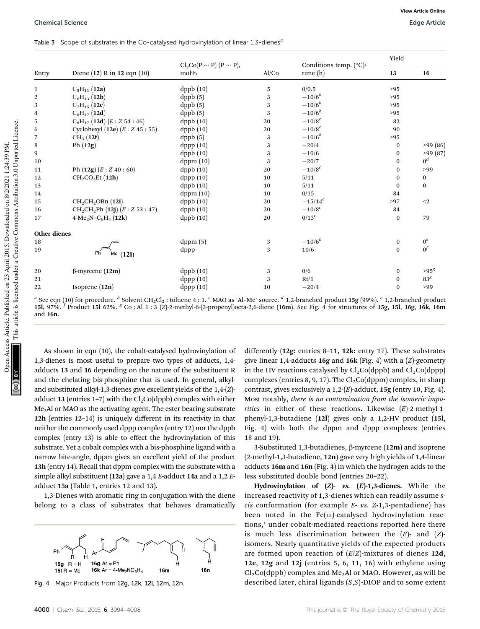|  |  | Table 3 Scope of substrates in the Co-catalysed hydrovinylation of linear 1,3-dienes <sup>4</sup> |  |  |
|--|--|---------------------------------------------------------------------------------------------------|--|--|
|--|--|---------------------------------------------------------------------------------------------------|--|--|

|                     |                                           |                                        |       |                                            | Yield        |                       |
|---------------------|-------------------------------------------|----------------------------------------|-------|--------------------------------------------|--------------|-----------------------|
| Entry               | Diene (12) R in 12 eqn (10)               | $Cl_2Co(P \sim P) (P \sim P),$<br>mol% | Al/Co | Conditions temp. $(^{\circ}C)/$<br>time(h) | 13           | 16                    |
| $\mathbf{1}$        | $C_5H_{11}$ (12a)                         | ${\rm dppb}(10)$                       | 5     | 0/0.5                                      | >95          |                       |
| $\overline{2}$      | $C_6H_{13}$ (12b)                         | dppb(5)                                | 3     | $-10/6^{b}$                                | >95          |                       |
| 3                   | $C_7H_{15}$ (12c)                         | ${\rm dppb}\ (5)$                      | 3     | $-10/6^{b}$                                | >95          |                       |
| 4                   | $C_8H_{17} (12d)$                         | dppb (5)                               | 3     | $-10/6^{b}$                                | >95          |                       |
| 5                   | $C_8H_{17}$ (12d) $(E:Z 54:46)$           | ${\rm dppb}(10)$                       | 20    | $-10/8^{c}$                                | 82           |                       |
| 6                   | Cyclohexyl $(12e)$ $(E:Z 45:55)$          | dppb(10)                               | 20    | $-10/8^{c}$                                | 90           |                       |
| 7                   | $CH_3(12f)$                               | ${\rm dppb}\ (5)$                      | 3     | $-10/6^{b}$                                | >95          |                       |
| 8                   | Ph $(12g)$                                | ${\rm dppp}\ (10)$                     | 3     | $-20/4$                                    | $\mathbf{0}$ | >99(86)               |
| 9                   |                                           | dppb(10)                               | 3     | $-10/6$                                    | $\mathbf{0}$ | >99(87)               |
| 10                  |                                           | dppm(10)                               | 3     | $-20/7$                                    | $\mathbf{0}$ | 0 <sup>d</sup>        |
| 11                  | Ph $(12g)$ $(E:Z40:60)$                   | dppb(10)                               | 20    | $-10/8^{c}$                                | $\theta$     | >99                   |
| 12                  | CH <sub>2</sub> CO <sub>2</sub> Et (12h)  | dppp (10)                              | 10    | 5/11                                       | $\mathbf{0}$ | $\mathbf{0}$          |
| 13                  |                                           | dppb(10)                               | 10    | 5/11                                       | $\mathbf{0}$ | $\mathbf{0}$          |
| 14                  |                                           | dppm(10)                               | 10    | 0/15                                       | 84           |                       |
| 15                  | CH <sub>2</sub> CH <sub>2</sub> OBn (12i) | dppb(10)                               | 20    | $-15/14^{c}$                               | >97          | $2$                   |
| 16                  | $CH_2CH_2Ph (12j) (E:Z 53:47)$            | dppb(10)                               | 20    | $-10/8^{c}$                                | 84           |                       |
| 17                  | $4-Me_2N-C_6H_4$ (12k)                    | dppb(10)                               | 20    | $0/13^c$                                   | $\mathbf{0}$ | 79                    |
| <b>Other dienes</b> |                                           |                                        |       |                                            |              |                       |
| 18                  |                                           | dppm(5)                                | 3     | $-10/6^{b}$                                | $\mathbf{0}$ | $0^e$                 |
| 19                  | Me $(12I)$                                | dppp                                   | 3     | 10/6                                       | $\Omega$     | $\alpha$ <sup>f</sup> |
| 20                  | $\beta$ -myrcene (12m)                    | dppb(10)                               | 3     | 0/6                                        | $\mathbf{0}$ | $>95^g$               |
| 21                  |                                           | ${\rm dppp(10)}$                       | 3     | Rt/1                                       | $\bf{0}$     | 83 <sup>g</sup>       |
| 22                  | Isoprene $(12n)$                          | dppp(10)                               | 10    | $-20/4$                                    | $\Omega$     | >99                   |

<sup>a</sup> See eqn (10) for procedure. <sup>b</sup> Solvent CH<sub>2</sub>Cl<sub>2</sub> : toluene 4 : 1. <sup>c</sup> MAO as 'Al–Me' source. <sup>*d*</sup> 1,2-branched product **15g** (99%). <sup>*e*</sup> 1,2-branched product 15l, 97%. *<sup>f</sup>* Product 15l 62%. *<sup>g</sup>* Co : Al 1 : 3 (*Z*)-2-methyl-6-(3-propenyl)octa-2,6-diene (16m). See Fig. 4 for structures of 15g, 15l, 16g, 16k, 16m and 16n.

As shown in eqn (10), the cobalt-catalysed hydrovinylation of 1,3-dienes is most useful to prepare two types of adducts, 1,4 adducts 13 and 16 depending on the nature of the substituent R and the chelating bis-phosphine that is used. In general, alkyland substituted alkyl-1,3-dienes give excellent yields of the 1,4-(*Z*) adduct 13 (entries 1–7) with the  $Cl_2Co(dppb)$  complex with either Me3Al or MAO as the activating agent. The ester bearing substrate 12h (entries 12–14) is uniquely different in its reactivity in that neither the commonly used dppp complex (entry 12) nor the dppb complex (entry 13) is able to effect the hydrovinylation of this substrate. Yet a cobalt complex with a bis-phosphine ligand with a narrow bite-angle, dppm gives an excellent yield of the product 13h (entry 14). Recall that dppm-complex with the substrate with a simple alkyl substituent (12a) gave a 1,4 *E*-adduct 14a and a 1,2 *E*adduct 15a (Table 1, entries 12 and 13).

1,3-Dienes with aromatic ring in conjugation with the diene belong to a class of substrates that behaves dramatically



differently (12g: entries 8–11, 12k: entry 17). These substrates give linear 1,4-adducts 16g and 16k (Fig. 4) with a (*Z*)-geometry in the HV reactions catalysed by  $Cl<sub>2</sub>Co(dppb)$  and  $Cl<sub>2</sub>Co(dppp)$ complexes (entries 8, 9, 17). The  $Cl<sub>2</sub>Co(dppm)$  complex, in sharp contrast, gives exclusively a 1,2-(*E*)-adduct, 15g (entry 10, Fig. 4). Most notably, *there is no contamination from the isomeric impurities* in either of these reactions. Likewise (*E*)-2-methyl-1 phenyl-1,3-butadiene (12l) gives only a 1,2-HV product (15l, Fig. 4) with both the dppm and dppp complexes (entries 18 and 19).

3-Substituted 1,3-butadienes,  $\beta$ -myrcene (12m) and isoprene (2-methyl-1,3-butadiene, 12n) gave very high yields of 1,4-linear adducts 16m and 16n (Fig. 4) in which the hydrogen adds to the less substituted double bond (entries 20–22).

Hydrovinylation of  $(Z)$ - vs.  $(E)$ -1,3-dienes. While the increased reactivity of 1,3-dienes which can readily assume *scis* conformation (for example *E*- *vs. Z*-1,3-pentadiene) has been noted in the  $Fe(m)$ -catalysed hydrovinylation reactions,<sup>1</sup> under cobalt-mediated reactions reported here there is much less discrimination between the (*E*)- and (*Z*) isomers. Nearly quantitative yields of the expected products are formed upon reaction of (*E*/*Z*)-mixtures of dienes 12d, 12e, 12g and 12j (entries 5, 6, 11, 16) with ethylene using  $Cl<sub>2</sub>Co(dppb)$  complex and Me<sub>3</sub>Al or MAO. However, as will be described later, chiral ligands (*S*,*S*)-DIOP and to some extent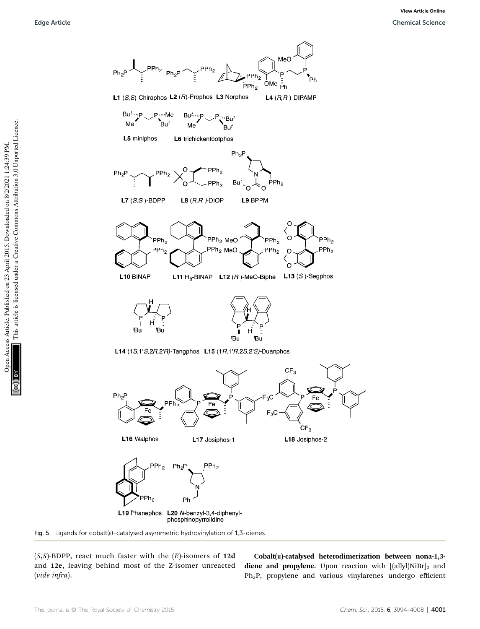

(*S*,*S*)-BDPP, react much faster with the (*E*)-isomers of 12d and 12e, leaving behind most of the Z-isomer unreacted (*vide infra*).

 $Cobalt(n)$ -catalysed heterodimerization between nona-1,3diene and propylene. Upon reaction with  $[$ (allyl)NiBr $]_2$  and Ph3P, propylene and various vinylarenes undergo efficient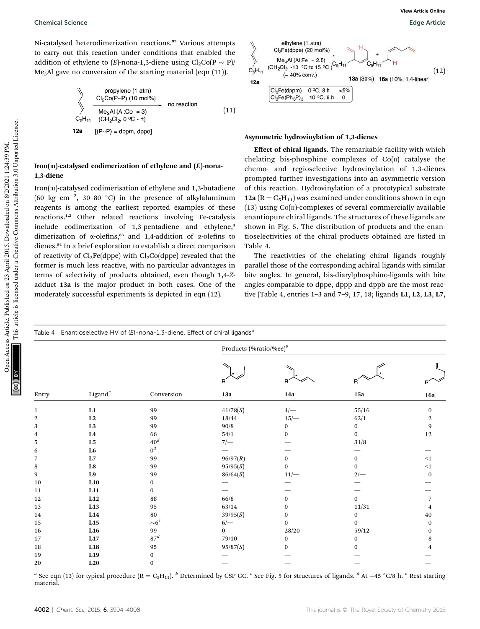Ni-catalysed heterodimerization reactions.<sup>82</sup> Various attempts to carry out this reaction under conditions that enabled the addition of ethylene to  $(E)$ -nona-1,3-diene using  $Cl_2Co(P \sim P)/$  $Me<sub>3</sub>Al$  gave no conversion of the starting material (eqn (11)).

propylene (1 atm)  
\n
$$
C_2Co(P-P)
$$
 (10 mol%)  
\n $Me_3Al$  (Al:Co = 3)  
\n $C_5H_{11}$  (CH<sub>2</sub>Cl<sub>2</sub>, 0 °C - rt)  
\n12a [(P-P) = dppm, dppel] (11)

### Iron( $\text{III}$ )-catalysed codimerization of ethylene and  $(E)$ -nona-1,3-diene

Iron(III)-catalysed codimerisation of ethylene and 1,3-butadiene (60 kg cm<sup>-2</sup>, 30-80 °C) in the presence of alkylaluminum reagents is among the earliest reported examples of these reactions.1,2 Other related reactions involving Fe-catalysis include codimerization of 1,3-pentadiene and ethylene,<sup>3</sup> dimerization of  $\alpha$ -olefins,<sup>83</sup> and 1,4-addition of  $\alpha$ -olefins to dienes.<sup>84</sup> In a brief exploration to establish a direct comparison of reactivity of  $Cl_3Fe(dppe)$  with  $Cl_2Co(dppe)$  revealed that the former is much less reactive, with no particular advantages in terms of selectivity of products obtained, even though 1,4-*Z*adduct 13a is the major product in both cases. One of the moderately successful experiments is depicted in eqn (12).



#### Asymmetric hydrovinylation of 1,3-dienes

Effect of chiral ligands. The remarkable facility with which chelating bis-phosphine complexes of  $Co(n)$  catalyse the chemo- and regioselective hydrovinylation of 1,3-dienes prompted further investigations into an asymmetric version of this reaction. Hydrovinylation of a prototypical substrate 12a ( $R = C_5H_{11}$ ) was examined under conditions shown in eqn (13) using  $Co(n)$ -complexes of several commercially available enantiopure chiral ligands. The structures of these ligands are shown in Fig. 5. The distribution of products and the enantioselectivities of the chiral products obtained are listed in Table 4.

The reactivities of the chelating chiral ligands roughly parallel those of the corresponding achiral ligands with similar bite angles. In general, bis-diarylphosphino-ligands with bite angles comparable to dppe, dppp and dppb are the most reactive (Table 4, entries 1–3 and 7–9, 17, 18; ligands L1, L2, L3, L7,

| Table 4 Enantioselective HV of $(E)$ -nona-1,3-diene. Effect of chiral ligands <sup>a</sup> |                 |                 |                            |              |              |            |  |  |
|---------------------------------------------------------------------------------------------|-----------------|-----------------|----------------------------|--------------|--------------|------------|--|--|
|                                                                                             |                 | Conversion      | Products (%ratio/%ee) $^b$ |              |              |            |  |  |
|                                                                                             |                 |                 | R                          |              | R            |            |  |  |
| Entry                                                                                       | Ligand $^c$     |                 | 13a                        | 14a          | 15a          | <b>16a</b> |  |  |
| 1                                                                                           | L1              | 99              | 41/78(S)                   | $4/-\,$      | 55/16        | $\bf{0}$   |  |  |
| $\overline{2}$                                                                              | L2              | 99              | 18/44                      | $15/-$       | 62/1         | 2          |  |  |
| 3                                                                                           | L <sub>3</sub>  | 99              | 90/8                       | $\bf{0}$     | $\mathbf{0}$ | 9          |  |  |
| 4                                                                                           | $\mathbf{L4}$   | 66              | 54/1                       | $\mathbf{0}$ | $\mathbf{0}$ | 12         |  |  |
| 5                                                                                           | L <sub>5</sub>  | 40 <sup>d</sup> | $7/-$                      |              | 31/8         |            |  |  |
| 6                                                                                           | L <sub>6</sub>  | $0^d$           |                            |              |              |            |  |  |
| 7                                                                                           | L7              | 99              | 96/97(R)                   | $\bf{0}$     | $\bf{0}$     | $\leq 1$   |  |  |
| 8                                                                                           | L8              | 99              | 95/95(S)                   | $\bf{0}$     | $\Omega$     | $<1\,$     |  |  |
| 9                                                                                           | L9              | 99              | 86/64(S)                   | $11/-$       | $2/-$        | $\bf{0}$   |  |  |
| 10                                                                                          | L10             | 0               |                            |              |              |            |  |  |
| 11                                                                                          | L11             | 0               |                            |              |              |            |  |  |
| 12                                                                                          | L12             | 88              | 66/8                       | $\mathbf{0}$ | $\mathbf{0}$ |            |  |  |
| 13                                                                                          | L13             | 95              | 63/14                      | 0            | 11/31        |            |  |  |
| 14                                                                                          | L14             | 80              | 39/95(S)                   | $\mathbf{0}$ | $\mathbf{0}$ | 40         |  |  |
| 15                                                                                          | L15             | ${\sim}6^e$     | 6/                         | $\mathbf{0}$ | $\mathbf{0}$ | 0          |  |  |
| 16                                                                                          | L16             | 99              | $\bf{0}$                   | $28/20\,$    | 59/12        | 0          |  |  |
| 17                                                                                          | L17             | 87 <sup>d</sup> | 79/10                      | $\bf{0}$     | $\theta$     | 8          |  |  |
| 18                                                                                          | L18             | 95              | 95/87(S)                   | 0            | 0            |            |  |  |
| 19                                                                                          | L <sub>19</sub> | 0               |                            |              |              |            |  |  |
| 20                                                                                          | L20             | $\mathbf{0}$    |                            |              |              |            |  |  |

 $^a$  See eqn (13) for typical procedure (R = C<sub>5</sub>H<sub>11</sub>). <sup>b</sup> Determined by CSP GC. <sup>c</sup> See Fig. 5 for structures of ligands. <sup>*d*</sup> At –45 °C/8 h. <sup>*e*</sup> Rest starting material.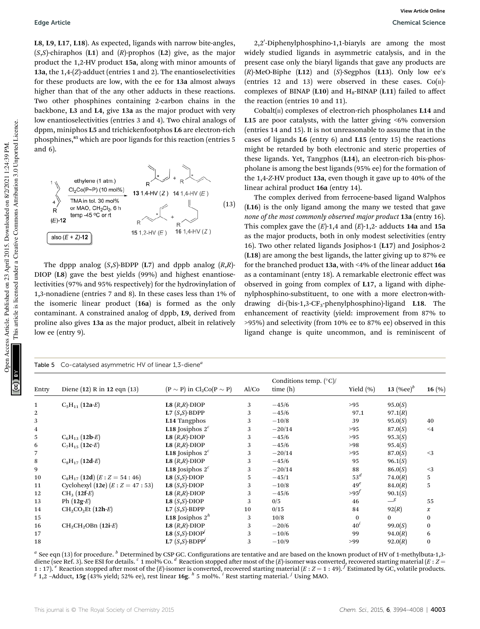L8, L9, L17, L18). As expected, ligands with narrow bite-angles, (*S*,*S*)-chiraphos (L1) and (*R*)-prophos (L2) give, as the major product the 1,2-HV product 15a, along with minor amounts of 13a, the 1,4-(*Z*)-adduct (entries 1 and 2). The enantioselectivities for these products are low, with the ee for 13a almost always higher than that of the any other adducts in these reactions. Two other phosphines containing 2-carbon chains in the backbone, L3 and L4, give 13a as the major product with very low enantioselectivities (entries 3 and 4). Two chiral analogs of dppm, miniphos L5 and trichickenfootphos L6 are electron-rich phosphines,<sup>85</sup> which are poor ligands for this reaction (entries 5 and 6).



The dppp analog  $(S, S)$ -BDPP  $(L7)$  and dppb analog  $(R, R)$ -DIOP (L8) gave the best yields (99%) and highest enantioselectivities (97% and 95% respectively) for the hydrovinylation of 1,3-nonadiene (entries 7 and 8). In these cases less than 1% of the isomeric linear product (16a) is formed as the only contaminant. A constrained analog of dppb, L9, derived from proline also gives 13a as the major product, albeit in relatively low ee (entry 9).

2,2'-Diphenylphosphino-1,1-biaryls are among the most widely studied ligands in asymmetric catalysis, and in the present case only the biaryl ligands that gave any products are (*R*)-MeO-Biphe (L12) and (*S*)-Segphos (L13). Only low ee's (entries 12 and 13) were observed in these cases.  $Co(\Pi)$ complexes of BINAP (L10) and  $H_8$ -BINAP (L11) failed to affect the reaction (entries 10 and 11).

Cobalt $(n)$  complexes of electron-rich phospholanes L14 and L15 are poor catalysts, with the latter giving <6% conversion (entries 14 and 15). It is not unreasonable to assume that in the cases of ligands L6 (entry 6) and L15 (entry 15) the reactions might be retarded by both electronic and steric properties of these ligands. Yet, Tangphos (L14), an electron-rich bis-phospholane is among the best ligands (95% ee) for the formation of the 1,4-*Z*-HV product 13a, even though it gave up to 40% of the linear achiral product 16a (entry 14).

The complex derived from ferrocene-based ligand Walphos (L16) is the only ligand among the many we tested that gave *none of the most commonly observed major product* 13a (entry 16). This complex gave the  $(E)$ -1,4 and  $(E)$ -1,2- adducts 14a and 15a as the major products, both in only modest selectivities (entry 16). Two other related ligands Josiphos-1 (L17) and Josiphos-2 (L18) are among the best ligands, the latter giving up to 87% ee for the branched product 13a, with <4% of the linear adduct 16a as a contaminant (entry 18). A remarkable electronic effect was observed in going from complex of L17, a ligand with diphenylphosphino-substituent, to one with a more electron-withdrawing di-(bis-1,3-CF<sub>3</sub>-phenylphosphino)-ligand L18. The enhancement of reactivity (yield: improvement from 87% to >95%) and selectivity (from 10% ee to 87% ee) observed in this ligand change is quite uncommon, and is reminiscent of

|                         | Table 5 Co-catalysed asymmetric HV of linear 1,3-diene <sup>a</sup> |                                    |       |                                            |                 |               |                  |  |  |
|-------------------------|---------------------------------------------------------------------|------------------------------------|-------|--------------------------------------------|-----------------|---------------|------------------|--|--|
| Entry                   | Diene (12) R in 12 eqn (13)                                         | $(P \sim P)$ in $Cl_2Co(P \sim P)$ | Al/Co | Conditions temp. $(^{\circ}C)/$<br>time(h) | Yield $(\% )$   | 13 $(\%ee)^b$ | 16 $(\% )$       |  |  |
| $\mathbf{1}$            | $C_5H_{11} (12a-E)$                                                 | L8 $(R,R)$ -DIOP                   | 3     | $-45/6$                                    | >95             | 95.0(S)       |                  |  |  |
| $\overline{2}$          |                                                                     | L7 $(S, S)$ -BDPP                  | 3     | $-45/6$                                    | 97.1            | 97.1(R)       |                  |  |  |
| 3                       |                                                                     | L14 Tangphos                       | 3     | $-10/8$                                    | 39              | 95.0(S)       | 40               |  |  |
| $\overline{\mathbf{4}}$ |                                                                     | L <sub>18</sub> Josiphos $2^c$     | 3     | $-20/14$                                   | >95             | 87.0(S)       | $\leq 4$         |  |  |
| 5                       | $C_6H_{13}$ (12b-E)                                                 | L8 $(R,R)$ -DIOP                   | 3     | $-45/6$                                    | >95             | 95.3(S)       |                  |  |  |
| 6                       | $C_7H_{15}$ (12c-E)                                                 | L8 $(R,R)$ -DIOP                   | 3     | $-45/6$                                    | >98             | 95.4(S)       |                  |  |  |
| $\overline{7}$          |                                                                     | <b>L18</b> Josiphos $2^c$          | 3     | $-20/14$                                   | >95             | 87.0(S)       | $<$ 3            |  |  |
| 8                       | $C_8H_{17}$ (12d-E)                                                 | L8 $(R,R)$ -DIOP                   | 3     | $-45/6$                                    | 95              | 96.1(S)       |                  |  |  |
| 9                       |                                                                     | <b>L18</b> Josiphos $2^c$          | 3     | $-20/14$                                   | 88              | 86.0(S)       | $<$ 3            |  |  |
| 10                      | $C_8H_{17}$ (12d) $(E:Z = 54:46)$                                   | L8 $(S, S)$ -DIOP                  | 5.    | $-45/1$                                    | 53 <sup>d</sup> | 74.0(R)       | 5                |  |  |
| 11                      | Cyclohexyl (12e) $(E:Z = 47:53)$                                    | L8 $(S, S)$ -DIOP                  | 3     | $-10/8$                                    | $49^e$          | 84.0(R)       | 5                |  |  |
| 12                      | $CH_3 (12f-E)$                                                      | L8 $(R,R)$ -DIOP                   | 3     | $-45/6$                                    | >95'            | 90.1(S)       |                  |  |  |
| 13                      | Ph $(12g-E)$                                                        | L8 $(S, S)$ -DIOP                  | 3     | 0/5                                        | 46              | $\_\simeq$    | 55               |  |  |
| 14                      | $CH2CO2Et (12h-E)$                                                  | $L7(S,S)$ -BDPP                    | 10    | 0/15                                       | 84              | 92(R)         | $\boldsymbol{x}$ |  |  |
| 15                      |                                                                     | <b>L18</b> Josiphos $2^h$          | 3     | 10/8                                       | $\bf{0}$        | $\mathbf{0}$  | $\bf{0}$         |  |  |
| 16                      | $CH2CH2OBn (12i-E)$                                                 | L8 $(R,R)$ -DIOP                   | 3     | $-20/6$                                    | 40 <sup>t</sup> | 99.0(S)       | $\bf{0}$         |  |  |
| 17                      |                                                                     | L8 $(S, S)$ -DIOP <sup>j</sup>     | 3     | $-10/6$                                    | 99              | 94.0(R)       | 6                |  |  |
| 18                      |                                                                     | L7 $(S, S)$ -BDPP <sup>j</sup>     | 3     | $-10/9$                                    | >99             | 92.0(R)       | $\bf{0}$         |  |  |

 $^a$  See eqn (13) for procedure.  $^b$  Determined by CSP GC. Configurations are tentative and are based on the known product of HV of 1-methylbuta-1,3diene (see Ref. 3). See ESI for details.  $c$  1 mol% Co.  $d$  Reaction stopped after most of the (*E*)-isomer was converted, recovered starting material (*E* : *Z* = 1 : 17). <sup>e</sup> Reaction stopped after most of the (E)-isomer is converted, recovered starting material (E : Z = 1 : 49). <sup>f</sup> Estimated by GC, volatile products.<br><sup>g</sup> 1,2 -Adduct, 15g (43% yield; 52% ee), rest linear 16g. <sup>h</sup>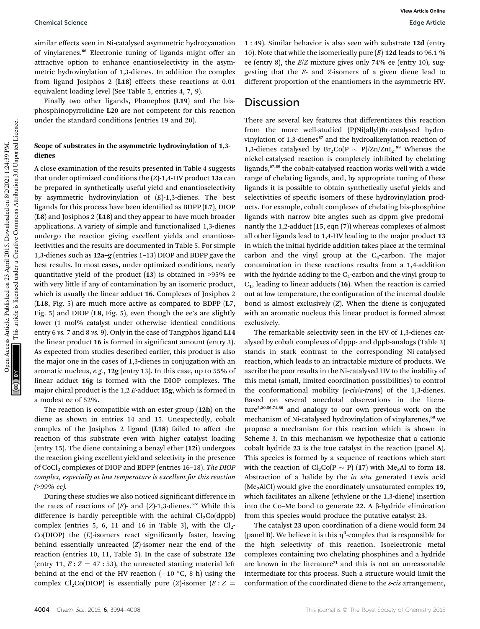#### **Chemical Science Edge Article**

similar effects seen in Ni-catalysed asymmetric hydrocyanation of vinylarenes.<sup>86</sup> Electronic tuning of ligands might offer an attractive option to enhance enantioselectivity in the asymmetric hydrovinylation of 1,3-dienes. In addition the complex from ligand Josiphos 2 (L18) effects these reactions at 0.01 equivalent loading level (See Table 5, entries 4, 7, 9).

Finally two other ligands, Phanephos (L19) and the bisphosphinopyrrolidine L20 are not competent for this reaction under the standard conditions (entries 19 and 20).

### Scope of substrates in the asymmetric hydrovinylation of 1,3 dienes

A close examination of the results presented in Table 4 suggests that under optimized conditions the (*Z*)-1,4-HV product 13a can be prepared in synthetically useful yield and enantioselectivity by asymmetric hydrovinylation of (*E*)-1,3-dienes. The best ligands for this process have been identified as BDPP  $(L7)$ , DIOP (L8) and Josiphos 2 (L18) and they appear to have much broader applications. A variety of simple and functionalized 1,3-dienes undergo the reaction giving excellent yields and enantioselectivities and the results are documented in Table 5. For simple 1,3-dienes such as 12a–g (entries 1–13) DIOP and BDPP gave the best results. In most cases, under optimized conditions, nearly quantitative yield of the product (13) is obtained in >95% ee with very little if any of contamination by an isomeric product, which is usually the linear adduct 16. Complexes of Josiphos 2 (L18, Fig. 5) are much more active as compared to BDPP (L7, Fig. 5) and DIOP (L8, Fig. 5), even though the ee's are slightly lower (1 mol% catalyst under otherwise identical conditions entry 6 *vs.* 7 and 8 *vs.* 9). Only in the case of Tangphos ligand L14 the linear product 16 is formed in significant amount (entry 3). As expected from studies described earlier, this product is also the major one in the cases of 1,3-dienes in conjugation with an aromatic nucleus, *e.g.*, 12g (entry 13). In this case, up to 55% of linear adduct 16g is formed with the DIOP complexes. The major chiral product is the 1,2 *E*-adduct 15g, which is formed in a modest ee of 52%.

The reaction is compatible with an ester group (12h) on the diene as shown in entries 14 and 15. Unexpectedly, cobalt complex of the Josiphos 2 ligand (L18) failed to affect the reaction of this substrate even with higher catalyst loading (entry 15). The diene containing a benzyl ether (12i) undergoes the reaction giving excellent yield and selectivity in the presence of CoCl<sub>2</sub> complexes of DIOP and BDPP (entries 16-18). *The DIOP complex, especially at low temperature is excellent for this reaction (>99% ee).*

During these studies we also noticed significant difference in the rates of reactions of  $(E)$ - and  $(Z)$ -1,3-dienes.<sup>57c</sup> While this difference is hardly perceptible with the achiral  $Cl_2Co(dppb)$ complex (entries 5, 6, 11 and 16 in Table 3), with the  $Cl_2$ -Co(DIOP) the (E)-isomers react significantly faster, leaving behind essentially unreacted (*Z*)-isomer near the end of the reaction (entries 10, 11, Table 5). In the case of substrate 12e (entry 11,  $E: Z = 47:53$ ), the unreacted starting material left behind at the end of the HV reaction  $(-10 \degree C, 8 h)$  using the complex Cl<sub>2</sub>Co(DIOP) is essentially pure (*Z*)-isomer ( $E: Z =$ 

1 : 49). Similar behavior is also seen with substrate 12d (entry 10). Note that while the isomerically pure (*E*)-12d leads to 96.1 % ee (entry 8), the *E*/*Z* mixture gives only 74% ee (entry 10), suggesting that the *E*- and *Z*-isomers of a given diene lead to different proportion of the enantiomers in the asymmetric HV.

### **Discussion**

There are several key features that differentiates this reaction from the more well-studied (P)Ni(allyl)Br-catalysed hydrovinylation of 1,3-dienes<sup>87</sup> and the hydroalkenylation reaction of 1,3-dienes catalysed by  $Br_2Co(P \sim P)/Zn/ZnI_2.^{ss}$  Whereas the nickel-catalysed reaction is completely inhibited by chelating ligands,67,89 the cobalt-catalysed reaction works well with a wide range of chelating ligands, and, by appropriate tuning of these ligands it is possible to obtain synthetically useful yields and selectivities of specific isomers of these hydrovinylation products. For example, cobalt complexes of chelating bis-phosphine ligands with narrow bite angles such as dppm give predominantly the 1,2-adduct (15, eqn (7)) whereas complexes of almost all other ligands lead to 1,4-HV leading to the major product 13 in which the initial hydride addition takes place at the terminal carbon and the vinyl group at the  $C_4$ -carbon. The major contamination in these reactions results from a 1,4-addition with the hydride adding to the  $C_4$ -carbon and the vinyl group to  $C_1$ , leading to linear adducts (16). When the reaction is carried out at low temperature, the configuration of the internal double bond is almost exclusively (*Z*). When the diene is conjugated with an aromatic nucleus this linear product is formed almost exclusively.

The remarkable selectivity seen in the HV of 1,3-dienes catalysed by cobalt complexes of dppp- and dppb-analogs (Table 3) stands in stark contrast to the corresponding Ni-catalysed reaction, which leads to an intractable mixture of products. We ascribe the poor results in the Ni-catalysed HV to the inability of this metal (small, limited coordination possibilities) to control the conformational mobility (*s-cis*/*s-trans*) of the 1,3-dienes. Based on several anecdotal observations in the literature5,20,56,71,80 and analogy to our own previous work on the mechanism of Ni-catalysed hydrovinylation of vinylarenes,<sup>68</sup> we propose a mechanism for this reaction which is shown in Scheme 3. In this mechanism we hypothesize that a cationic cobalt hydride 23 is the true catalyst in the reaction (panel A). This species is formed by a sequence of reactions which start with the reaction of  $Cl_2Co(P \sim P)$  (17) with Me<sub>3</sub>Al to form 18. Abstraction of a halide by the *in situ* generated Lewis acid  $(Me<sub>2</sub>AICI)$  would give the coordinately unsaturated complex 19, which facilitates an alkene (ethylene or the 1,3-diene) insertion into the Co–Me bond to generate 22. A  $\beta$ -hydride elimination from this species would produce the putative catalyst 23.

The catalyst 23 upon coordination of a diene would form 24 (panel **B**). We believe it is this  $\eta^4$ -complex that is responsible for the high selectivity of this reaction. Isoelectronic metal complexes containing two chelating phosphines and a hydride are known in the literature<sup> $71$ </sup> and this is not an unreasonable intermediate for this process. Such a structure would limit the conformation of the coordinated diene to the *s-cis* arrangement,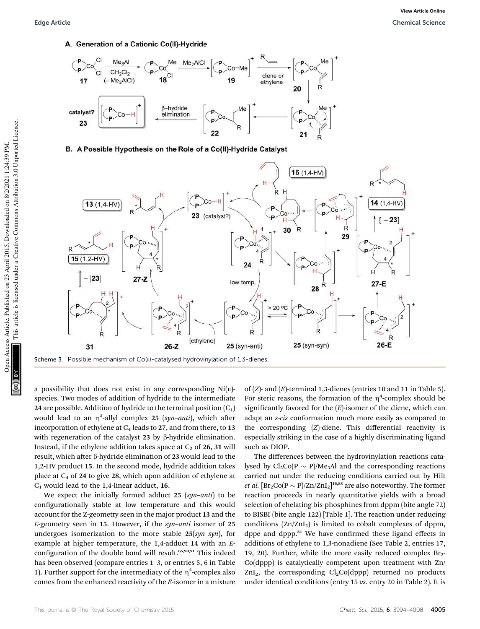#### A. Generation of a Cationic Co(II)-Hydride



B. A Possible Hypothesis on the Role of a Co(II)-Hydride Catalyst



a possibility that does not exist in any corresponding  $Ni(n)$ species. Two modes of addition of hydride to the intermediate 24 are possible. Addition of hydride to the terminal position  $(C_1)$ would lead to an  $\eta^3$ -allyl complex 25 (*syn–anti*), which after incorporation of ethylene at  $C_4$  leads to 27, and from there, to 13 with regeneration of the catalyst 23 by  $\beta$ -hydride elimination. Instead, if the ethylene addition takes space at  $C_2$  of 26, 31 will result, which after  $\beta$ -hydride elimination of 23 would lead to the 1,2-HV product 15. In the second mode, hydride addition takes place at  $C_4$  of 24 to give 28, which upon addition of ethylene at  $C_1$  would lead to the 1,4-linear adduct, 16.

We expect the initially formed adduct 25 (*syn*–*anti*) to be configurationally stable at low temperature and this would account for the Z-geometry seen in the major product 13 and the *E*-geometry seen in 15. However, if the *syn*–*anti* isomer of 25 undergoes isomerization to the more stable 25(*syn*–*syn*), for example at higher temperature, the 1,4-adduct 14 with an *E*configuration of the double bond will result.<sup>66,90,91</sup> This indeed has been observed (compare entries 1–3, or entries 5, 6 in Table 1). Further support for the intermediacy of the  $\eta^4$ -complex also comes from the enhanced reactivity of the *E*-isomer in a mixture of (*Z*)- and (*E*)-terminal 1,3-dienes (entries 10 and 11 in Table 5). For steric reasons, the formation of the  $\eta^4$ -complex should be significantly favored for the  $(E)$ -isomer of the diene, which can adapt an *s-cis* conformation much more easily as compared to the corresponding (*Z*)-diene. This differential reactivity is especially striking in the case of a highly discriminating ligand such as DIOP.

The differences between the hydrovinylation reactions catalysed by  $Cl_2Co(P \sim P)/Me_3Al$  and the corresponding reactions carried out under the reducing conditions carried out by Hilt *et al.*  $[\text{Br}_2\text{Co}(P \sim P)/\text{Zn/ZnI}_2]^{46,88}$  are also noteworthy. The former reaction proceeds in nearly quantitative yields with a broad selection of chelating bis-phosphines from dppm (bite angle 72) to BISBI (bite angle 122) [Table 1]. The reaction under reducing conditions  $(Zn/ZnI_2)$  is limited to cobalt complexes of dppm, dppe and dppp.<sup>81</sup> We have confirmed these ligand effects in additions of ethylene to 1,3-nonadiene (See Table 2, entries 17, 19, 20). Further, while the more easily reduced complex  $Br_2$ -Co(dppp) is catalytically competent upon treatment with Zn/  $ZnI_2$ , the corresponding  $Cl_2Co(dppp)$  returned no products under identical conditions (entry 15 *vs.* entry 20 in Table 2). It is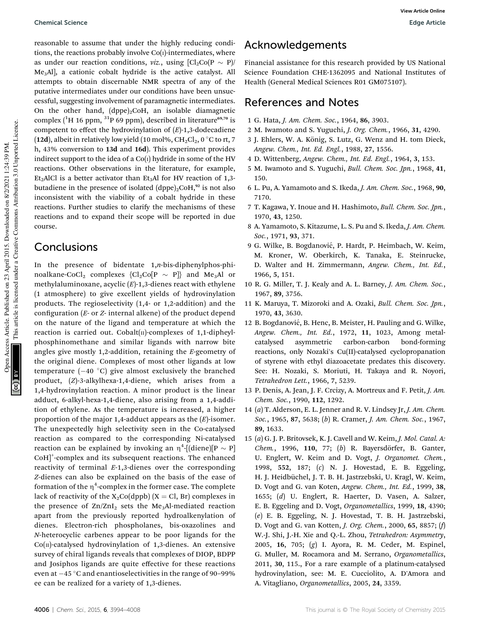reasonable to assume that under the highly reducing conditions, the reactions probably involve  $Co(i)$ -intermediates, where as under our reaction conditions, *viz.*, using  $\left[\text{Cl}_2\text{Co}(\text{P} \sim \text{P})\right]$ Me3Al], a cationic cobalt hydride is the active catalyst. All attempts to obtain discernable NMR spectra of any of the putative intermediates under our conditions have been unsuccessful, suggesting involvement of paramagnetic intermediates. On the other hand,  $(dppe)_{2}CoH$ , an isolable diamagnetic complex  $(^{1}H 16$  ppm,  $^{31}P 69$  ppm), described in literature<sup>69,70</sup> is competent to effect the hydrovinylation of (*E*)-1,3-dodecadiene (12d), albeit in relatively low yield (10 mol%,  $CH_2Cl_2$ , 0 °C to rt, 7 h, 43% conversion to 13d and 16d). This experiment provides indirect support to the idea of a  $Co(I)$  hydride in some of the HV reactions. Other observations in the literature, for example, Et<sub>2</sub>AlCl is a better activator than Et<sub>3</sub>Al for HV reaction of 1,3butadiene in the presence of isolated  $(dppe)_{2}CoH, 92$  is not also inconsistent with the viability of a cobalt hydride in these reactions. Further studies to clarify the mechanisms of these reactions and to expand their scope will be reported in due course.

# Conclusions

In the presence of bidentate 1,*n*-bis-diphenylphos-phinoalkane-CoCl<sub>2</sub> complexes  ${Cl_2Co[P \sim P]}$  and Me<sub>3</sub>Al or methylaluminoxane, acyclic (*E*)-1,3-dienes react with ethylene (1 atmosphere) to give excellent yields of hydrovinylation products. The regioselectivity (1,4- or 1,2-addition) and the configuration (*E*- or *Z*- internal alkene) of the product depend on the nature of the ligand and temperature at which the reaction is carried out. Cobalt $(n)$ -complexes of 1,1-dipheylphosphinomethane and similar ligands with narrow bite angles give mostly 1,2-addition, retaining the *E*-geometry of the original diene. Complexes of most other ligands at low temperature  $(-40 \degree C)$  give almost exclusively the branched product, (*Z*)-3-alkylhexa-1,4-diene, which arises from a 1,4-hydrovinylation reaction. A minor product is the linear adduct, 6-alkyl-hexa-1,4-diene, also arising from a 1,4-addition of ethylene. As the temperature is increased, a higher proportion of the major 1,4-adduct appears as the (*E*)-isomer. The unexpectedly high selectivity seen in the Co-catalysed reaction as compared to the corresponding Ni-catalysed reaction can be explained by invoking an  $\eta^4$ -[(diene)[P  $\sim$  P] CoH]<sup>+</sup>-complex and its subsequent reactions. The enhanced reactivity of terminal *E*-1,3-dienes over the corresponding *Z*-dienes can also be explained on the basis of the ease of formation of the  $\eta^4$ -complex in the former case. The complete lack of reactivity of the  $X_2Co(dppb)$  (X = Cl, Br) complexes in the presence of  $\text{Zn/ZnI}_2$  sets the Me<sub>3</sub>Al-mediated reaction apart from the previously reported hydroalkenylation of dienes. Electron-rich phospholanes, bis-oxazolines and *N*-heterocyclic carbenes appear to be poor ligands for the  $Co(n)$ -catalysed hydrovinylation of 1,3-dienes. An extensive survey of chiral ligands reveals that complexes of DIOP, BDPP and Josiphos ligands are quite effective for these reactions even at  $-45$  °C and enantioselectivities in the range of 90-99% ee can be realized for a variety of 1,3-dienes.

# Acknowledgements

Financial assistance for this research provided by US National Science Foundation CHE-1362095 and National Institutes of Health (General Medical Sciences R01 GM075107).

## References and Notes

- 1 G. Hata, *J. Am. Chem. Soc.*, 1964, 86, 3903.
- 2 M. Iwamoto and S. Yuguchi, *J. Org. Chem.*, 1966, 31, 4290.
- 3 J. Ehlers, W. A. König, S. Lutz, G. Wenz and H. tom Dieck, *Angew. Chem., Int. Ed. Engl.*, 1988, 27, 1556.
- 4 D. Wittenberg, *Angew. Chem., Int. Ed. Engl.*, 1964, 3, 153.
- 5 M. Iwamoto and S. Yuguchi, *Bull. Chem. Soc. Jpn.*, 1968, 41, 150.
- 6 L. Pu, A. Yamamoto and S. Ikeda, *J. Am. Chem. Soc.*, 1968, 90, 7170.
- 7 T. Kagawa, Y. Inoue and H. Hashimoto, *Bull. Chem. Soc. Jpn.*, 1970, 43, 1250.
- 8 A. Yamamoto, S. Kitazume, L. S. Pu and S. Ikeda, *J. Am. Chem. Soc.*, 1971, 93, 371.
- 9 G. Wilke, B. Bogdanović, P. Hardt, P. Heimbach, W. Keim, M. Kroner, W. Oberkirch, K. Tanaka, E. Steinrucke, D. Walter and H. Zimmermann, *Angew. Chem., Int. Ed.*, 1966, 5, 151.
- 10 R. G. Miller, T. J. Kealy and A. L. Barney, *J. Am. Chem. Soc.*, 1967, 89, 3756.
- 11 K. Maruya, T. Mizoroki and A. Ozaki, *Bull. Chem. Soc. Jpn.*, 1970, 43, 3630.
- 12 B. Bogdanović, B. Henc, B. Meister, H. Pauling and G. Wilke, *Angew. Chem., Int. Ed.*, 1972, 11, 1023, Among metalcatalysed asymmetric carbon-carbon bond-forming reactions, only Nozaki's Cu(II)-catalysed cyclopropanation of styrene with ethyl diazoacetate predates this discovery. See: H. Nozaki, S. Moriuti, H. Takaya and R. Noyori, *Tetrahedron Lett.*, 1966, 7, 5239.
- 13 P. Denis, A. Jean, J. F. Crcizy, A. Mortreux and F. Petit, *J. Am. Chem. Soc.*, 1990, 112, 1292.
- 14 (*a*) T. Alderson, E. L. Jenner and R. V. Lindsey Jr, *J. Am. Chem. Soc.*, 1965, 87, 5638; (*b*) R. Cramer, *J. Am. Chem. Soc.*, 1967, 89, 1633.
- 15 (*a*) G. J. P. Britovsek, K. J. Cavell and W. Keim, *J. Mol. Catal. A: Chem.*, 1996, 110, 77; (b) R. Bayersdörfer, B. Ganter, U. Englert, W. Keim and D. Vogt, *J. Organomet. Chem.*, 1998, 552, 187; (*c*) N. J. Hovestad, E. B. Eggeling, H. J. Heidbüchel, J. T. B. H. Jastrzebski, U. Kragl, W. Keim, D. Vogt and G. van Koten, *Angew. Chem., Int. Ed.*, 1999, 38, 1655; (*d*) U. Englert, R. Haerter, D. Vasen, A. Salzer, E. B. Eggeling and D. Vogt, *Organometallics*, 1999, 18, 4390; (*e*) E. B. Eggeling, N. J. Hovestad, T. B. H. Jastrzebski, D. Vogt and G. van Kotten, *J. Org. Chem.*, 2000, 65, 8857; (*f*) W.-J. Shi, J.-H. Xie and Q.-L. Zhou, *Tetrahedron: Asymmetry*, 2005, 16, 705; (*g*) I. Ayora, R. M. Ceder, M. Espinel, G. Muller, M. Rocamora and M. Serrano, *Organometallics*, 2011, 30, 115., For a rare example of a platinum-catalysed hydrovinylation, see: M. E. Cucciolito, A. D'Amora and A. Vitagliano, *Organometallics*, 2005, 24, 3359.

This article is licensed under a Creative Commons Attribution 3.0 Unported Licence.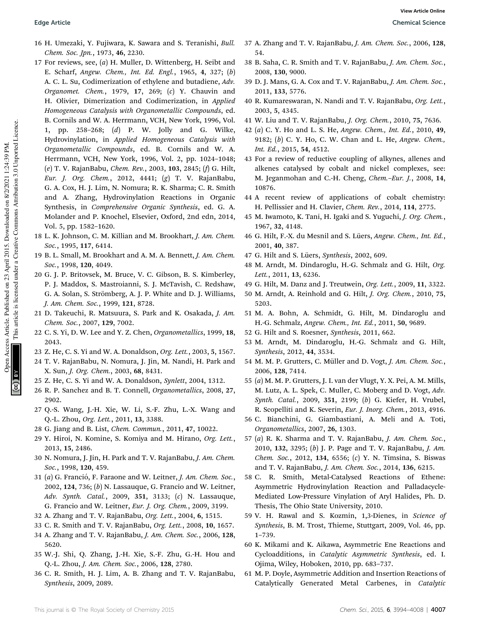- 16 H. Umezaki, Y. Fujiwara, K. Sawara and S. Teranishi, *Bull. Chem. Soc. Jpn.*, 1973, 46, 2230.
- 17 For reviews, see, (*a*) H. Muller, D. Wittenberg, H. Seibt and E. Scharf, *Angew. Chem., Int. Ed. Engl.*, 1965, 4, 327; (*b*) A. C. L. Su, Codimerization of ethylene and butadiene, *Adv. Organomet. Chem.*, 1979, 17, 269; (*c*) Y. Chauvin and H. Olivier, Dimerization and Codimerization, in *Applied Homogeneous Catalysis with Organometallic Compounds*, ed. B. Cornils and W. A. Herrmann, VCH, New York, 1996, Vol. 1, pp. 258–268; (*d*) P. W. Jolly and G. Wilke, Hydrovinylation, in *Applied Homogeneous Catalysis with Organometallic Compounds*, ed. B. Cornils and W. A. Herrmann, VCH, New York, 1996, Vol. 2, pp. 1024–1048; (*e*) T. V. RajanBabu, *Chem. Rev.*, 2003, 103, 2845; (*f*) G. Hilt, *Eur. J. Org. Chem.*, 2012, 4441; (*g*) T. V. RajanBabu, G. A. Cox, H. J. Lim, N. Nomura; R. K. Sharma; C. R. Smith and A. Zhang, Hydrovinylation Reactions in Organic Synthesis, in *Comprehensive Organic Synthesis*, ed. G. A. Molander and P. Knochel, Elsevier, Oxford, 2nd edn, 2014, Vol. 5, pp. 1582–1620.
- 18 L. K. Johnson, C. M. Killian and M. Brookhart, *J. Am. Chem. Soc.*, 1995, 117, 6414.
- 19 B. L. Small, M. Brookhart and A. M. A. Bennett, *J. Am. Chem. Soc.*, 1998, 120, 4049.
- 20 G. J. P. Britovsek, M. Bruce, V. C. Gibson, B. S. Kimberley, P. J. Maddox, S. Mastroianni, S. J. McTavish, C. Redshaw, G. A. Solan, S. Strömberg, A. J. P. White and D. J. Williams, *J. Am. Chem. Soc.*, 1999, 121, 8728.
- 21 D. Takeuchi, R. Matsuura, S. Park and K. Osakada, *J. Am. Chem. Soc.*, 2007, 129, 7002.
- 22 C. S. Yi, D. W. Lee and Y. Z. Chen, *Organometallics*, 1999, 18, 2043.
- 23 Z. He, C. S. Yi and W. A. Donaldson, *Org. Lett.*, 2003, 5, 1567.
- 24 T. V. RajanBabu, N. Nomura, J. Jin, M. Nandi, H. Park and X. Sun, *J. Org. Chem.*, 2003, 68, 8431.
- 25 Z. He, C. S. Yi and W. A. Donaldson, *Synlett*, 2004, 1312.
- 26 R. P. Sanchez and B. T. Connell, *Organometallics*, 2008, 27, 2902.
- 27 Q.-S. Wang, J.-H. Xie, W. Li, S.-F. Zhu, L.-X. Wang and Q.-L. Zhou, *Org. Lett.*, 2011, 13, 3388.
- 28 G. Jiang and B. List, *Chem. Commun.*, 2011, 47, 10022.
- 29 Y. Hiroi, N. Komine, S. Komiya and M. Hirano, *Org. Lett.*, 2013, 15, 2486.
- 30 N. Nomura, J. Jin, H. Park and T. V. RajanBabu, *J. Am. Chem. Soc.*, 1998, 120, 459.
- 31 (*a*) G. Franció, F. Faraone and W. Leitner, *J. Am. Chem. Soc.*, 2002, 124, 736; (*b*) N. Lassauque, G. Francio and W. Leitner, *Adv. Synth. Catal.*, 2009, 351, 3133; (*c*) N. Lassauque, G. Francio and W. Leitner, *Eur. J. Org. Chem.*, 2009, 3199.
- 32 A. Zhang and T. V. RajanBabu, *Org. Lett.*, 2004, 6, 1515.
- 33 C. R. Smith and T. V. RajanBabu, *Org. Lett.*, 2008, 10, 1657.
- 34 A. Zhang and T. V. RajanBabu, *J. Am. Chem. Soc.*, 2006, 128, 5620.
- 35 W.-J. Shi, Q. Zhang, J.-H. Xie, S.-F. Zhu, G.-H. Hou and Q.-L. Zhou, *J. Am. Chem. Soc.*, 2006, 128, 2780.
- 36 C. R. Smith, H. J. Lim, A. B. Zhang and T. V. RajanBabu, *Synthesis*, 2009, 2089.
- 37 A. Zhang and T. V. RajanBabu, *J. Am. Chem. Soc.*, 2006, 128, 54.
- 38 B. Saha, C. R. Smith and T. V. RajanBabu, *J. Am. Chem. Soc.*, 2008, 130, 9000.
- 39 D. J. Mans, G. A. Cox and T. V. RajanBabu, *J. Am. Chem. Soc.*, 2011, 133, 5776.
- 40 R. Kumareswaran, N. Nandi and T. V. RajanBabu, *Org. Lett.*, 2003, 5, 4345.
- 41 W. Liu and T. V. RajanBabu, *J. Org. Chem.*, 2010, 75, 7636.
- 42 (*a*) C. Y. Ho and L. S. He, *Angew. Chem., Int. Ed.*, 2010, 49, 9182; (*b*) C. Y. Ho, C. W. Chan and L. He, *Angew. Chem., Int. Ed.*, 2015, 54, 4512.
- 43 For a review of reductive coupling of alkynes, allenes and alkenes catalysed by cobalt and nickel complexes, see: M. Jeganmohan and C.-H. Cheng, *Chem.*–*Eur. J.*, 2008, 14, 10876.
- 44 A recent review of applications of cobalt chemistry: H. Pellissier and H. Clavier, *Chem. Rev.*, 2014, 114, 2775.
- 45 M. Iwamoto, K. Tani, H. Igaki and S. Yuguchi, *J. Org. Chem.*, 1967, 32, 4148.
- 46 G. Hilt, F.-X. du Mesnil and S. Lüers, *Angew. Chem., Int. Ed.*, 2001, 40, 387.
- 47 G. Hilt and S. Lüers, Synthesis, 2002, 609.
- 48 M. Arndt, M. Dindaroglu, H.-G. Schmalz and G. Hilt, *Org. Lett.*, 2011, 13, 6236.
- 49 G. Hilt, M. Danz and J. Treutwein, *Org. Lett.*, 2009, 11, 3322.
- 50 M. Arndt, A. Reinhold and G. Hilt, *J. Org. Chem.*, 2010, 75, 5203.
- 51 M. A. Bohn, A. Schmidt, G. Hilt, M. Dindaroglu and H.-G. Schmalz, *Angew. Chem., Int. Ed.*, 2011, 50, 9689.
- 52 G. Hilt and S. Roesner, *Synthesis*, 2011, 662.
- 53 M. Arndt, M. Dindaroglu, H.-G. Schmalz and G. Hilt, *Synthesis*, 2012, 44, 3534.
- 54 M. M. P. Grutters, C. Müller and D. Vogt, J. Am. Chem. Soc., 2006, 128, 7414.
- 55 (*a*) M. M. P. Grutters, J. I. van der Vlugt, Y. X. Pei, A. M. Mills, M. Lutz, A. L. Spek, C. Muller, C. Moberg and D. Vogt, *Adv. Synth. Catal.*, 2009, 351, 2199; (*b*) G. Kiefer, H. Vrubel, R. Scopelliti and K. Severin, *Eur. J. Inorg. Chem.*, 2013, 4916.
- 56 C. Bianchini, G. Giambastiani, A. Meli and A. Toti, *Organometallics*, 2007, 26, 1303.
- 57 (*a*) R. K. Sharma and T. V. RajanBabu, *J. Am. Chem. Soc.*, 2010, 132, 3295; (*b*) J. P. Page and T. V. RajanBabu, *J. Am. Chem. Soc.*, 2012, 134, 6556; (*c*) Y. N. Timsina, S. Biswas and T. V. RajanBabu, *J. Am. Chem. Soc.*, 2014, 136, 6215.
- 58 C. R. Smith, Metal-Catalysed Reactions of Ethene: Asymmetric Hydrovinylation Reaction and Palladacycle-Mediated Low-Pressure Vinylation of Aryl Halides, Ph. D. Thesis, The Ohio State University, 2010.
- 59 V. H. Rawal and S. Kozmin, 1,3-Dienes, in *Science of Synthesis*, B. M. Trost, Thieme, Stuttgart, 2009, Vol. 46, pp. 1–739.
- 60 K. Mikami and K. Aikawa, Asymmetric Ene Reactions and Cycloadditions, in *Catalytic Asymmetric Synthesis*, ed. I. Ojima, Wiley, Hoboken, 2010, pp. 683–737.
- 61 M. P. Doyle, Asymmetric Addition and Insertion Reactions of Catalytically Generated Metal Carbenes, in *Catalytic*